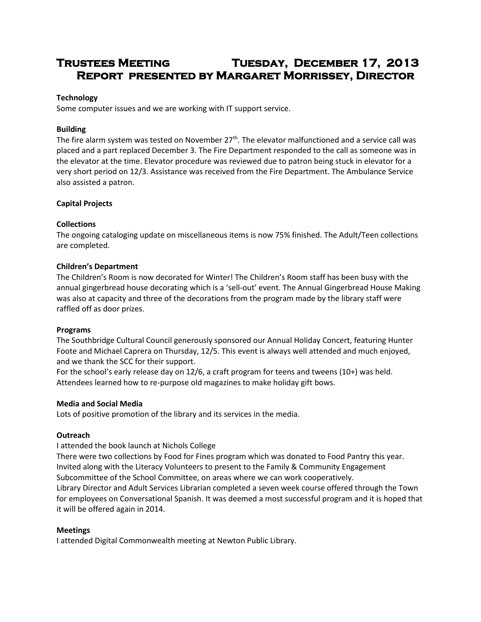# **Trustees Meeting Tuesday, December 17, 2013 Report presented by Margaret Morrissey, Director**

#### **Technology**

Some computer issues and we are working with IT support service.

#### **Building**

The fire alarm system was tested on November  $27<sup>th</sup>$ . The elevator malfunctioned and a service call was placed and a part replaced December 3. The Fire Department responded to the call as someone was in the elevator at the time. Elevator procedure was reviewed due to patron being stuck in elevator for a very short period on 12/3. Assistance was received from the Fire Department. The Ambulance Service also assisted a patron.

## **Capital Projects**

#### **Collections**

The ongoing cataloging update on miscellaneous items is now 75% finished. The Adult/Teen collections are completed.

#### **Children's Department**

The Children's Room is now decorated for Winter! The Children's Room staff has been busy with the annual gingerbread house decorating which is a 'sell-out' event. The Annual Gingerbread House Making was also at capacity and three of the decorations from the program made by the library staff were raffled off as door prizes.

#### **Programs**

The Southbridge Cultural Council generously sponsored our Annual Holiday Concert, featuring Hunter Foote and Michael Caprera on Thursday, 12/5. This event is always well attended and much enjoyed, and we thank the SCC for their support.

For the school's early release day on 12/6, a craft program for teens and tweens (10+) was held. Attendees learned how to re-purpose old magazines to make holiday gift bows.

#### **Media and Social Media**

Lots of positive promotion of the library and its services in the media.

#### **Outreach**

I attended the book launch at Nichols College

There were two collections by Food for Fines program which was donated to Food Pantry this year. Invited along with the Literacy Volunteers to present to the Family & Community Engagement Subcommittee of the School Committee, on areas where we can work cooperatively. Library Director and Adult Services Librarian completed a seven week course offered through the Town for employees on Conversational Spanish. It was deemed a most successful program and it is hoped that it will be offered again in 2014.

#### **Meetings**

I attended Digital Commonwealth meeting at Newton Public Library.